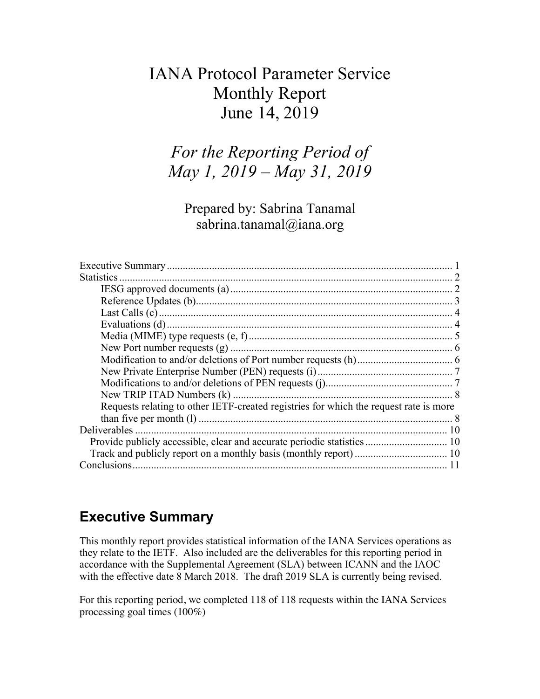## IANA Protocol Parameter Service Monthly Report June 14, 2019

## *For the Reporting Period of May 1, 2019 – May 31, 2019*

Prepared by: Sabrina Tanamal sabrina.tanamal@iana.org

| Requests relating to other IETF-created registries for which the request rate is more |  |
|---------------------------------------------------------------------------------------|--|
|                                                                                       |  |
|                                                                                       |  |
| Provide publicly accessible, clear and accurate periodic statistics 10                |  |
|                                                                                       |  |
|                                                                                       |  |

## **Executive Summary**

This monthly report provides statistical information of the IANA Services operations as they relate to the IETF. Also included are the deliverables for this reporting period in accordance with the Supplemental Agreement (SLA) between ICANN and the IAOC with the effective date 8 March 2018. The draft 2019 SLA is currently being revised.

For this reporting period, we completed 118 of 118 requests within the IANA Services processing goal times (100%)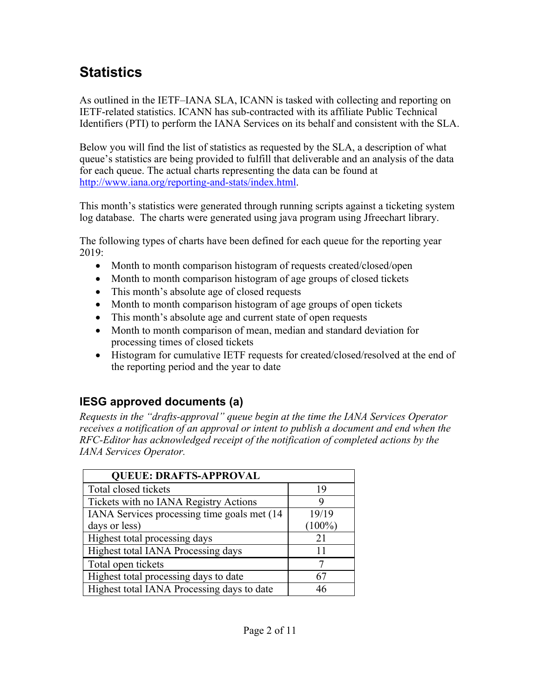# **Statistics**

As outlined in the IETF–IANA SLA, ICANN is tasked with collecting and reporting on IETF-related statistics. ICANN has sub-contracted with its affiliate Public Technical Identifiers (PTI) to perform the IANA Services on its behalf and consistent with the SLA.

Below you will find the list of statistics as requested by the SLA, a description of what queue's statistics are being provided to fulfill that deliverable and an analysis of the data for each queue. The actual charts representing the data can be found at http://www.iana.org/reporting-and-stats/index.html.

This month's statistics were generated through running scripts against a ticketing system log database. The charts were generated using java program using Jfreechart library.

The following types of charts have been defined for each queue for the reporting year 2019:

- Month to month comparison histogram of requests created/closed/open
- Month to month comparison histogram of age groups of closed tickets
- This month's absolute age of closed requests
- Month to month comparison histogram of age groups of open tickets
- This month's absolute age and current state of open requests
- Month to month comparison of mean, median and standard deviation for processing times of closed tickets
- Histogram for cumulative IETF requests for created/closed/resolved at the end of the reporting period and the year to date

## **IESG approved documents (a)**

*Requests in the "drafts-approval" queue begin at the time the IANA Services Operator receives a notification of an approval or intent to publish a document and end when the RFC-Editor has acknowledged receipt of the notification of completed actions by the IANA Services Operator.*

| <b>QUEUE: DRAFTS-APPROVAL</b>                |           |
|----------------------------------------------|-----------|
| Total closed tickets                         | 19        |
| Tickets with no IANA Registry Actions        |           |
| IANA Services processing time goals met (14) | 19/19     |
| days or less)                                | $(100\%)$ |
| Highest total processing days                | 21        |
| Highest total IANA Processing days           | 11        |
| Total open tickets                           |           |
| Highest total processing days to date        |           |
| Highest total IANA Processing days to date   |           |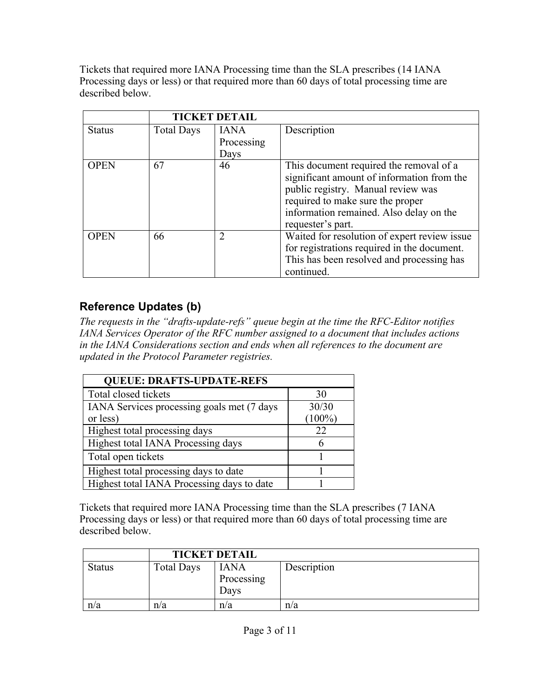Tickets that required more IANA Processing time than the SLA prescribes (14 IANA Processing days or less) or that required more than 60 days of total processing time are described below.

|               | <b>TICKET DETAIL</b> |                |                                              |
|---------------|----------------------|----------------|----------------------------------------------|
| <b>Status</b> | <b>Total Days</b>    | <b>IANA</b>    | Description                                  |
|               |                      | Processing     |                                              |
|               |                      | Days           |                                              |
| <b>OPEN</b>   | 67                   | 46             | This document required the removal of a      |
|               |                      |                | significant amount of information from the   |
|               |                      |                | public registry. Manual review was           |
|               |                      |                | required to make sure the proper             |
|               |                      |                | information remained. Also delay on the      |
|               |                      |                | requester's part.                            |
| <b>OPEN</b>   | 66                   | $\overline{2}$ | Waited for resolution of expert review issue |
|               |                      |                | for registrations required in the document.  |
|               |                      |                | This has been resolved and processing has    |
|               |                      |                | continued.                                   |

## **Reference Updates (b)**

*The requests in the "drafts-update-refs" queue begin at the time the RFC-Editor notifies IANA Services Operator of the RFC number assigned to a document that includes actions in the IANA Considerations section and ends when all references to the document are updated in the Protocol Parameter registries.*

| <b>QUEUE: DRAFTS-UPDATE-REFS</b>           |           |  |  |
|--------------------------------------------|-----------|--|--|
| Total closed tickets                       | 30        |  |  |
| IANA Services processing goals met (7 days | 30/30     |  |  |
| or less)                                   | $(100\%)$ |  |  |
| Highest total processing days              | 22        |  |  |
| Highest total IANA Processing days         |           |  |  |
| Total open tickets                         |           |  |  |
| Highest total processing days to date      |           |  |  |
| Highest total IANA Processing days to date |           |  |  |

Tickets that required more IANA Processing time than the SLA prescribes (7 IANA Processing days or less) or that required more than 60 days of total processing time are described below.

|               |                   | <b>TICKET DETAIL</b>              |             |  |
|---------------|-------------------|-----------------------------------|-------------|--|
| <b>Status</b> | <b>Total Days</b> | <b>IANA</b><br>Processing<br>Davs | Description |  |
| n/a           | n/a               | n/a                               | n/a         |  |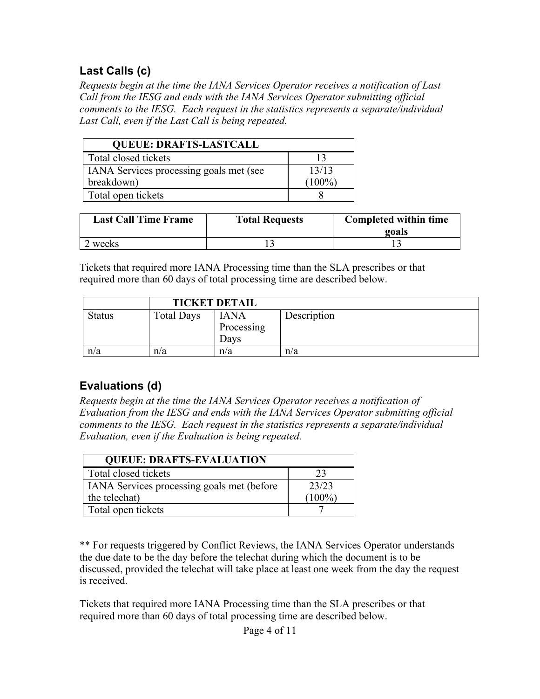## **Last Calls (c)**

*Requests begin at the time the IANA Services Operator receives a notification of Last Call from the IESG and ends with the IANA Services Operator submitting official comments to the IESG. Each request in the statistics represents a separate/individual Last Call, even if the Last Call is being repeated.*

| <b>QUEUE: DRAFTS-LASTCALL</b>           |           |
|-----------------------------------------|-----------|
| Total closed tickets                    |           |
| IANA Services processing goals met (see | 13/13     |
| breakdown)                              | $(100\%)$ |
| Total open tickets                      |           |

| <b>Last Call Time Frame</b> | <b>Total Requests</b> | <b>Completed within time</b><br>goals |
|-----------------------------|-----------------------|---------------------------------------|
| weeks                       |                       |                                       |

Tickets that required more IANA Processing time than the SLA prescribes or that required more than 60 days of total processing time are described below.

|               | <b>TICKET DETAIL</b> |                                   |             |
|---------------|----------------------|-----------------------------------|-------------|
| <b>Status</b> | <b>Total Days</b>    | <b>IANA</b><br>Processing<br>Davs | Description |
| n/a           | n/a                  | n/a                               | n/a         |

## **Evaluations (d)**

*Requests begin at the time the IANA Services Operator receives a notification of Evaluation from the IESG and ends with the IANA Services Operator submitting official comments to the IESG. Each request in the statistics represents a separate/individual Evaluation, even if the Evaluation is being repeated.*

| <b>QUEUE: DRAFTS-EVALUATION</b>                   |           |  |
|---------------------------------------------------|-----------|--|
| Total closed tickets                              | 23        |  |
| <b>IANA</b> Services processing goals met (before | 23/23     |  |
| the telechat)                                     | $(100\%)$ |  |
| Total open tickets                                |           |  |

\*\* For requests triggered by Conflict Reviews, the IANA Services Operator understands the due date to be the day before the telechat during which the document is to be discussed, provided the telechat will take place at least one week from the day the request is received.

Tickets that required more IANA Processing time than the SLA prescribes or that required more than 60 days of total processing time are described below.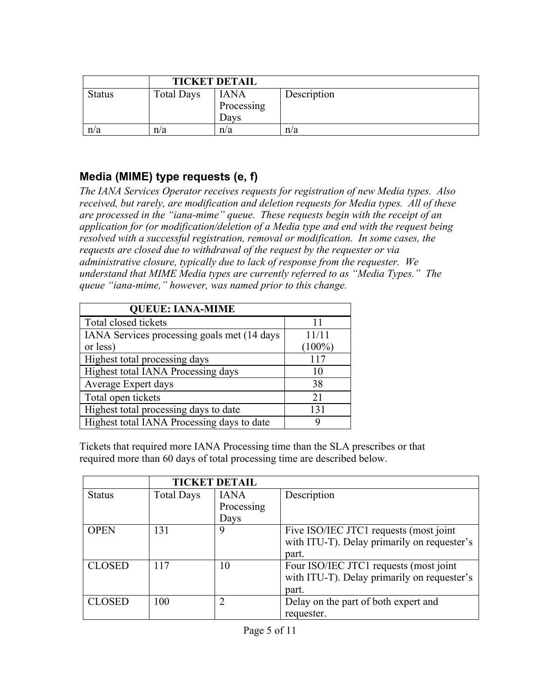|               | <b>TICKET DETAIL</b> |                                   |             |
|---------------|----------------------|-----------------------------------|-------------|
| <b>Status</b> | <b>Total Days</b>    | <b>IANA</b><br>Processing<br>Davs | Description |
| n/a           | n/a                  | n/a                               | n/a         |

#### **Media (MIME) type requests (e, f)**

*The IANA Services Operator receives requests for registration of new Media types. Also received, but rarely, are modification and deletion requests for Media types. All of these are processed in the "iana-mime" queue. These requests begin with the receipt of an application for (or modification/deletion of a Media type and end with the request being resolved with a successful registration, removal or modification. In some cases, the requests are closed due to withdrawal of the request by the requester or via administrative closure, typically due to lack of response from the requester. We understand that MIME Media types are currently referred to as "Media Types." The queue "iana-mime," however, was named prior to this change.*

| <b>QUEUE: IANA-MIME</b>                     |           |
|---------------------------------------------|-----------|
| Total closed tickets                        | 11        |
| IANA Services processing goals met (14 days | 11/11     |
| or less)                                    | $(100\%)$ |
| Highest total processing days               | 117       |
| Highest total IANA Processing days          | 10        |
| Average Expert days                         | 38        |
| Total open tickets                          | 21        |
| Highest total processing days to date       | 131       |
| Highest total IANA Processing days to date  | y         |

Tickets that required more IANA Processing time than the SLA prescribes or that required more than 60 days of total processing time are described below.

|               | <b>TICKET DETAIL</b> |             |                                             |
|---------------|----------------------|-------------|---------------------------------------------|
| <b>Status</b> | <b>Total Days</b>    | <b>IANA</b> | Description                                 |
|               |                      | Processing  |                                             |
|               |                      | Days        |                                             |
| <b>OPEN</b>   | 131                  | 9           | Five ISO/IEC JTC1 requests (most joint      |
|               |                      |             | with ITU-T). Delay primarily on requester's |
|               |                      |             | part.                                       |
| <b>CLOSED</b> | 117                  | 10          | Four ISO/IEC JTC1 requests (most joint      |
|               |                      |             | with ITU-T). Delay primarily on requester's |
|               |                      |             | part.                                       |
| <b>CLOSED</b> | 100                  | 2           | Delay on the part of both expert and        |
|               |                      |             | requester.                                  |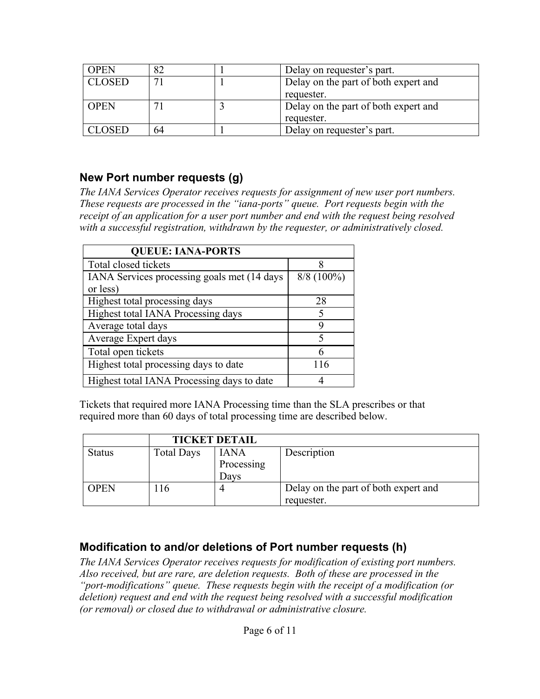| <b>OPEN</b>   | 82              | Delay on requester's part.           |
|---------------|-----------------|--------------------------------------|
| <b>CLOSED</b> | $\mathbf{\tau}$ | Delay on the part of both expert and |
|               |                 | requester.                           |
| <b>OPEN</b>   |                 | Delay on the part of both expert and |
|               |                 | requester.                           |
| CLOSED        | 64              | Delay on requester's part.           |

#### **New Port number requests (g)**

*The IANA Services Operator receives requests for assignment of new user port numbers. These requests are processed in the "iana-ports" queue. Port requests begin with the receipt of an application for a user port number and end with the request being resolved with a successful registration, withdrawn by the requester, or administratively closed.*

| <b>QUEUE: IANA-PORTS</b>                    |              |  |
|---------------------------------------------|--------------|--|
| Total closed tickets                        | 8            |  |
| IANA Services processing goals met (14 days | $8/8$ (100%) |  |
| or less)                                    |              |  |
| Highest total processing days               | 28           |  |
| Highest total IANA Processing days          | 5            |  |
| Average total days                          | Q            |  |
| Average Expert days                         | 5            |  |
| Total open tickets                          |              |  |
| Highest total processing days to date       | 116          |  |
| Highest total IANA Processing days to date  |              |  |

Tickets that required more IANA Processing time than the SLA prescribes or that required more than 60 days of total processing time are described below.

|               | <b>TICKET DETAIL</b> |             |                                      |
|---------------|----------------------|-------------|--------------------------------------|
| <b>Status</b> | <b>Total Days</b>    | <b>IANA</b> | Description                          |
|               |                      | Processing  |                                      |
|               |                      | Days        |                                      |
| <b>OPEN</b>   | l 16                 |             | Delay on the part of both expert and |
|               |                      |             | requester.                           |

#### **Modification to and/or deletions of Port number requests (h)**

*The IANA Services Operator receives requests for modification of existing port numbers. Also received, but are rare, are deletion requests. Both of these are processed in the "port-modifications" queue. These requests begin with the receipt of a modification (or deletion) request and end with the request being resolved with a successful modification (or removal) or closed due to withdrawal or administrative closure.*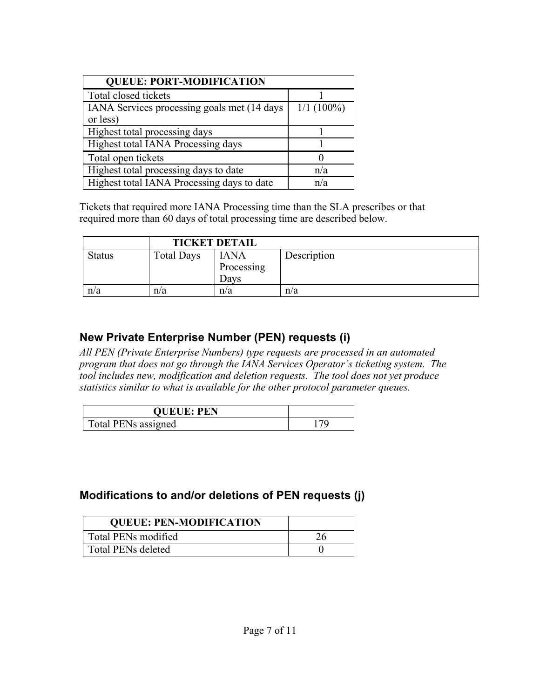| <b>QUEUE: PORT-MODIFICATION</b>              |              |  |  |
|----------------------------------------------|--------------|--|--|
| Total closed tickets                         |              |  |  |
| IANA Services processing goals met (14 days) | $1/1(100\%)$ |  |  |
| or less)                                     |              |  |  |
| Highest total processing days                |              |  |  |
| Highest total IANA Processing days           |              |  |  |
| Total open tickets                           |              |  |  |
| Highest total processing days to date        | n/a          |  |  |
| Highest total IANA Processing days to date   | n/a          |  |  |

Tickets that required more IANA Processing time than the SLA prescribes or that required more than 60 days of total processing time are described below.

|               | <b>TICKET DETAIL</b> |                                   |             |
|---------------|----------------------|-----------------------------------|-------------|
| <b>Status</b> | <b>Total Days</b>    | <b>IANA</b><br>Processing<br>Davs | Description |
| n/a           | n/a                  | n/a                               | n/a         |

#### **New Private Enterprise Number (PEN) requests (i)**

*All PEN (Private Enterprise Numbers) type requests are processed in an automated program that does not go through the IANA Services Operator's ticketing system. The tool includes new, modification and deletion requests. The tool does not yet produce statistics similar to what is available for the other protocol parameter queues.*

| <b>QUEUE: PEN</b>   |  |
|---------------------|--|
| Total PENs assigned |  |

#### **Modifications to and/or deletions of PEN requests (j)**

| <b>QUEUE: PEN-MODIFICATION</b> |  |
|--------------------------------|--|
| Total PENs modified            |  |
| <b>Total PENs deleted</b>      |  |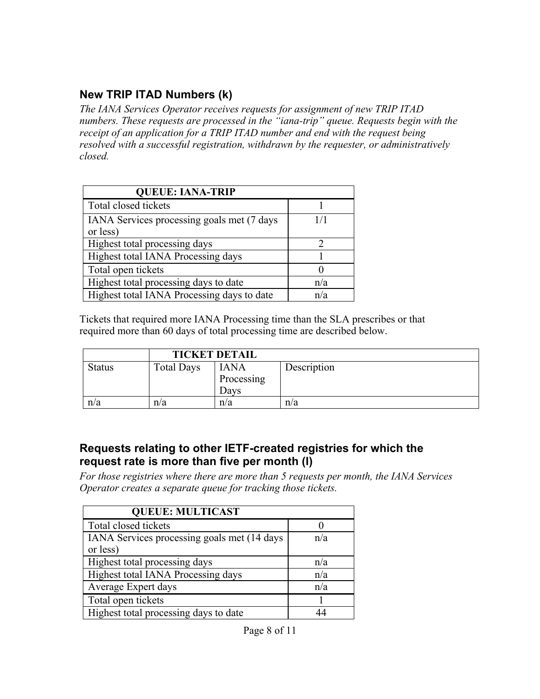## **New TRIP ITAD Numbers (k)**

*The IANA Services Operator receives requests for assignment of new TRIP ITAD numbers. These requests are processed in the "iana-trip" queue. Requests begin with the receipt of an application for a TRIP ITAD number and end with the request being resolved with a successful registration, withdrawn by the requester, or administratively closed.*

| <b>QUEUE: IANA-TRIP</b>                                 |     |
|---------------------------------------------------------|-----|
| Total closed tickets                                    |     |
| IANA Services processing goals met (7 days)<br>or less) | 1/1 |
| Highest total processing days                           |     |
| Highest total IANA Processing days                      |     |
| Total open tickets                                      |     |
| Highest total processing days to date                   | n/a |
| Highest total IANA Processing days to date              | n/a |

Tickets that required more IANA Processing time than the SLA prescribes or that required more than 60 days of total processing time are described below.

|               | <b>TICKET DETAIL</b> |             |             |
|---------------|----------------------|-------------|-------------|
| <b>Status</b> | <b>Total Days</b>    | <b>IANA</b> | Description |
|               |                      | Processing  |             |
|               |                      | Davs        |             |
| n/a           | n/a                  | n/a         | n/a         |

#### **Requests relating to other IETF-created registries for which the request rate is more than five per month (l)**

*For those registries where there are more than 5 requests per month, the IANA Services Operator creates a separate queue for tracking those tickets.* 

| <b>QUEUE: MULTICAST</b>                     |     |  |  |
|---------------------------------------------|-----|--|--|
| Total closed tickets                        |     |  |  |
| IANA Services processing goals met (14 days | n/a |  |  |
| or less)                                    |     |  |  |
| Highest total processing days               | n/a |  |  |
| Highest total IANA Processing days          | n/a |  |  |
| Average Expert days                         | n/a |  |  |
| Total open tickets                          |     |  |  |
| Highest total processing days to date       |     |  |  |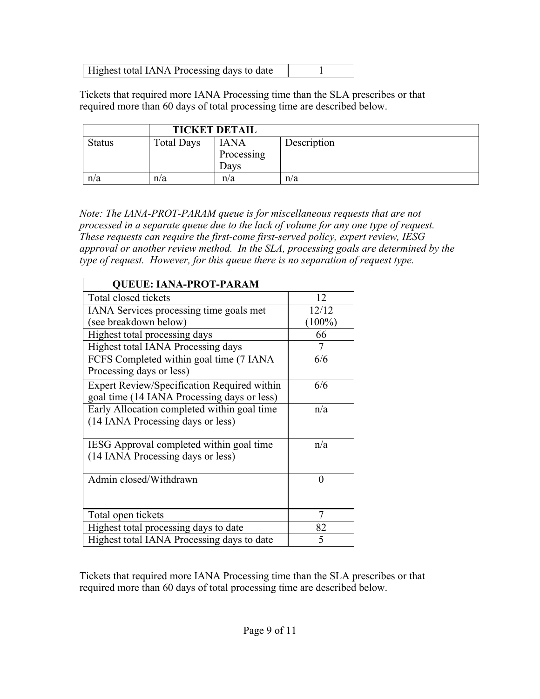| Highest total IANA Processing days to date |  |
|--------------------------------------------|--|
|                                            |  |

Tickets that required more IANA Processing time than the SLA prescribes or that required more than 60 days of total processing time are described below.

|               | <b>TICKET DETAIL</b> |                                   |             |
|---------------|----------------------|-----------------------------------|-------------|
| <b>Status</b> | <b>Total Days</b>    | <b>IANA</b><br>Processing<br>Davs | Description |
| n/a           | n/a                  | n/a                               | n/a         |

*Note: The IANA-PROT-PARAM queue is for miscellaneous requests that are not processed in a separate queue due to the lack of volume for any one type of request. These requests can require the first-come first-served policy, expert review, IESG approval or another review method. In the SLA, processing goals are determined by the type of request. However, for this queue there is no separation of request type.*

| <b>QUEUE: IANA-PROT-PARAM</b>               |           |
|---------------------------------------------|-----------|
| Total closed tickets                        | 12        |
| IANA Services processing time goals met     | 12/12     |
| (see breakdown below)                       | $(100\%)$ |
| Highest total processing days               | 66        |
| Highest total IANA Processing days          |           |
| FCFS Completed within goal time (7 IANA)    | 6/6       |
| Processing days or less)                    |           |
| Expert Review/Specification Required within | 6/6       |
| goal time (14 IANA Processing days or less) |           |
| Early Allocation completed within goal time | n/a       |
| (14 IANA Processing days or less)           |           |
|                                             |           |
| IESG Approval completed within goal time    | n/a       |
| (14 IANA Processing days or less)           |           |
|                                             |           |
| Admin closed/Withdrawn                      | 0         |
|                                             |           |
| Total open tickets                          | 7         |
| Highest total processing days to date       | 82        |
| Highest total IANA Processing days to date  | 5         |

Tickets that required more IANA Processing time than the SLA prescribes or that required more than 60 days of total processing time are described below.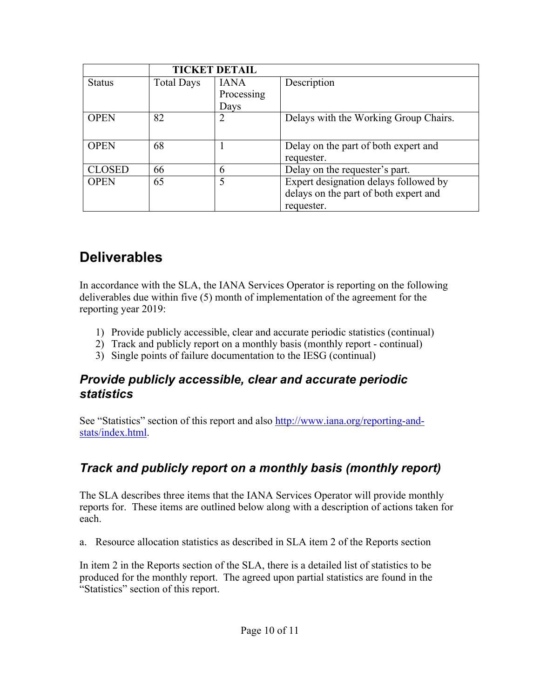|               | <b>TICKET DETAIL</b> |                |                                       |
|---------------|----------------------|----------------|---------------------------------------|
| <b>Status</b> | <b>Total Days</b>    | <b>IANA</b>    | Description                           |
|               |                      | Processing     |                                       |
|               |                      | Days           |                                       |
| <b>OPEN</b>   | 82                   | $\overline{2}$ | Delays with the Working Group Chairs. |
|               |                      |                |                                       |
| <b>OPEN</b>   | 68                   |                | Delay on the part of both expert and  |
|               |                      |                | requester.                            |
| <b>CLOSED</b> | 66                   | 6              | Delay on the requester's part.        |
| <b>OPEN</b>   | 65                   | 5              | Expert designation delays followed by |
|               |                      |                | delays on the part of both expert and |
|               |                      |                | requester.                            |

## **Deliverables**

In accordance with the SLA, the IANA Services Operator is reporting on the following deliverables due within five (5) month of implementation of the agreement for the reporting year 2019:

- 1) Provide publicly accessible, clear and accurate periodic statistics (continual)
- 2) Track and publicly report on a monthly basis (monthly report continual)
- 3) Single points of failure documentation to the IESG (continual)

### *Provide publicly accessible, clear and accurate periodic statistics*

See "Statistics" section of this report and also http://www.iana.org/reporting-andstats/index.html.

## *Track and publicly report on a monthly basis (monthly report)*

The SLA describes three items that the IANA Services Operator will provide monthly reports for. These items are outlined below along with a description of actions taken for each.

a. Resource allocation statistics as described in SLA item 2 of the Reports section

In item 2 in the Reports section of the SLA, there is a detailed list of statistics to be produced for the monthly report. The agreed upon partial statistics are found in the "Statistics" section of this report.